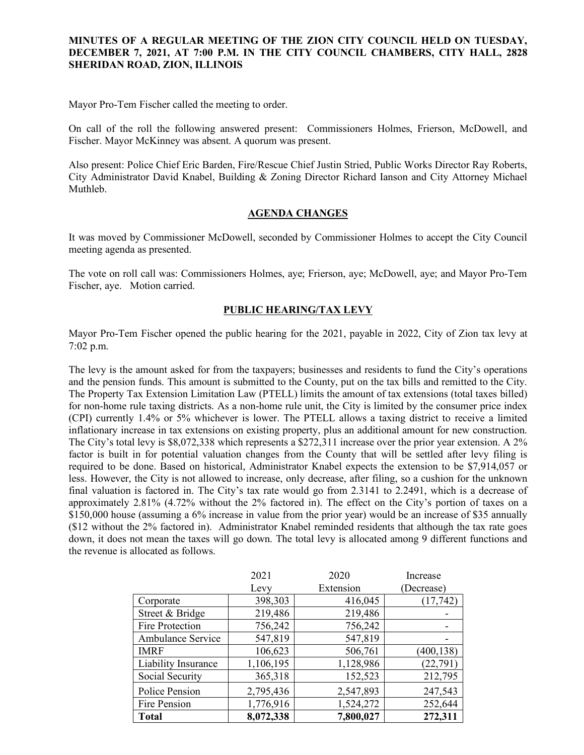## **MINUTES OF A REGULAR MEETING OF THE ZION CITY COUNCIL HELD ON TUESDAY, DECEMBER 7, 2021, AT 7:00 P.M. IN THE CITY COUNCIL CHAMBERS, CITY HALL, 2828 SHERIDAN ROAD, ZION, ILLINOIS**

Mayor Pro-Tem Fischer called the meeting to order.

On call of the roll the following answered present: Commissioners Holmes, Frierson, McDowell, and Fischer. Mayor McKinney was absent. A quorum was present.

Also present: Police Chief Eric Barden, Fire/Rescue Chief Justin Stried, Public Works Director Ray Roberts, City Administrator David Knabel, Building & Zoning Director Richard Ianson and City Attorney Michael Muthleb.

## **AGENDA CHANGES**

It was moved by Commissioner McDowell, seconded by Commissioner Holmes to accept the City Council meeting agenda as presented.

The vote on roll call was: Commissioners Holmes, aye; Frierson, aye; McDowell, aye; and Mayor Pro-Tem Fischer, aye. Motion carried.

## **PUBLIC HEARING/TAX LEVY**

Mayor Pro-Tem Fischer opened the public hearing for the 2021, payable in 2022, City of Zion tax levy at 7:02 p.m.

The levy is the amount asked for from the taxpayers; businesses and residents to fund the City's operations and the pension funds. This amount is submitted to the County, put on the tax bills and remitted to the City. The Property Tax Extension Limitation Law (PTELL) limits the amount of tax extensions (total taxes billed) for non-home rule taxing districts. As a non-home rule unit, the City is limited by the consumer price index (CPI) currently 1.4% or 5% whichever is lower. The PTELL allows a taxing district to receive a limited inflationary increase in tax extensions on existing property, plus an additional amount for new construction. The City's total levy is \$8,072,338 which represents a \$272,311 increase over the prior year extension. A 2% factor is built in for potential valuation changes from the County that will be settled after levy filing is required to be done. Based on historical, Administrator Knabel expects the extension to be \$7,914,057 or less. However, the City is not allowed to increase, only decrease, after filing, so a cushion for the unknown final valuation is factored in. The City's tax rate would go from 2.3141 to 2.2491, which is a decrease of approximately 2.81% (4.72% without the 2% factored in). The effect on the City's portion of taxes on a \$150,000 house (assuming a 6% increase in value from the prior year) would be an increase of \$35 annually (\$12 without the 2% factored in). Administrator Knabel reminded residents that although the tax rate goes down, it does not mean the taxes will go down. The total levy is allocated among 9 different functions and the revenue is allocated as follows.

|                     | 2021      | 2020      | Increase   |
|---------------------|-----------|-----------|------------|
|                     | Levy      | Extension | (Decrease) |
| Corporate           | 398,303   | 416,045   | (17, 742)  |
| Street & Bridge     | 219,486   | 219,486   |            |
| Fire Protection     | 756,242   | 756,242   |            |
| Ambulance Service   | 547,819   | 547,819   |            |
| <b>IMRF</b>         | 106,623   | 506,761   | (400, 138) |
| Liability Insurance | 1,106,195 | 1,128,986 | (22, 791)  |
| Social Security     | 365,318   | 152,523   | 212,795    |
| Police Pension      | 2,795,436 | 2,547,893 | 247,543    |
| Fire Pension        | 1,776,916 | 1,524,272 | 252,644    |
| <b>Total</b>        | 8,072,338 | 7,800,027 | 272,311    |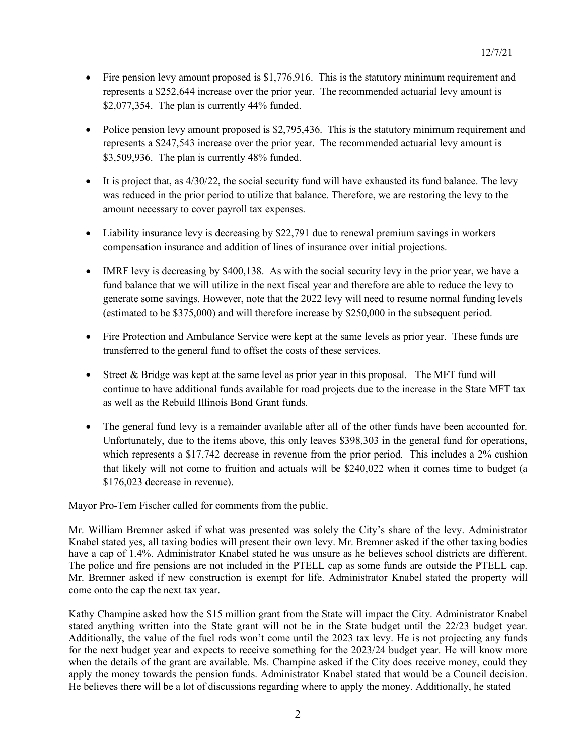- Fire pension levy amount proposed is \$1,776,916. This is the statutory minimum requirement and represents a \$252,644 increase over the prior year. The recommended actuarial levy amount is \$2,077,354. The plan is currently 44% funded.
- Police pension levy amount proposed is \$2,795,436. This is the statutory minimum requirement and represents a \$247,543 increase over the prior year. The recommended actuarial levy amount is \$3,509,936. The plan is currently 48% funded.
- $\bullet$  It is project that, as  $4/30/22$ , the social security fund will have exhausted its fund balance. The levy was reduced in the prior period to utilize that balance. Therefore, we are restoring the levy to the amount necessary to cover payroll tax expenses.
- Liability insurance levy is decreasing by \$22,791 due to renewal premium savings in workers compensation insurance and addition of lines of insurance over initial projections.
- IMRF levy is decreasing by \$400,138. As with the social security levy in the prior year, we have a fund balance that we will utilize in the next fiscal year and therefore are able to reduce the levy to generate some savings. However, note that the 2022 levy will need to resume normal funding levels (estimated to be \$375,000) and will therefore increase by \$250,000 in the subsequent period.
- Fire Protection and Ambulance Service were kept at the same levels as prior year. These funds are transferred to the general fund to offset the costs of these services.
- Street & Bridge was kept at the same level as prior year in this proposal. The MFT fund will continue to have additional funds available for road projects due to the increase in the State MFT tax as well as the Rebuild Illinois Bond Grant funds.
- The general fund levy is a remainder available after all of the other funds have been accounted for. Unfortunately, due to the items above, this only leaves \$398,303 in the general fund for operations, which represents a \$17,742 decrease in revenue from the prior period. This includes a 2% cushion that likely will not come to fruition and actuals will be \$240,022 when it comes time to budget (a \$176,023 decrease in revenue).

Mayor Pro-Tem Fischer called for comments from the public.

Mr. William Bremner asked if what was presented was solely the City's share of the levy. Administrator Knabel stated yes, all taxing bodies will present their own levy. Mr. Bremner asked if the other taxing bodies have a cap of 1.4%. Administrator Knabel stated he was unsure as he believes school districts are different. The police and fire pensions are not included in the PTELL cap as some funds are outside the PTELL cap. Mr. Bremner asked if new construction is exempt for life. Administrator Knabel stated the property will come onto the cap the next tax year.

Kathy Champine asked how the \$15 million grant from the State will impact the City. Administrator Knabel stated anything written into the State grant will not be in the State budget until the 22/23 budget year. Additionally, the value of the fuel rods won't come until the 2023 tax levy. He is not projecting any funds for the next budget year and expects to receive something for the 2023/24 budget year. He will know more when the details of the grant are available. Ms. Champine asked if the City does receive money, could they apply the money towards the pension funds. Administrator Knabel stated that would be a Council decision. He believes there will be a lot of discussions regarding where to apply the money. Additionally, he stated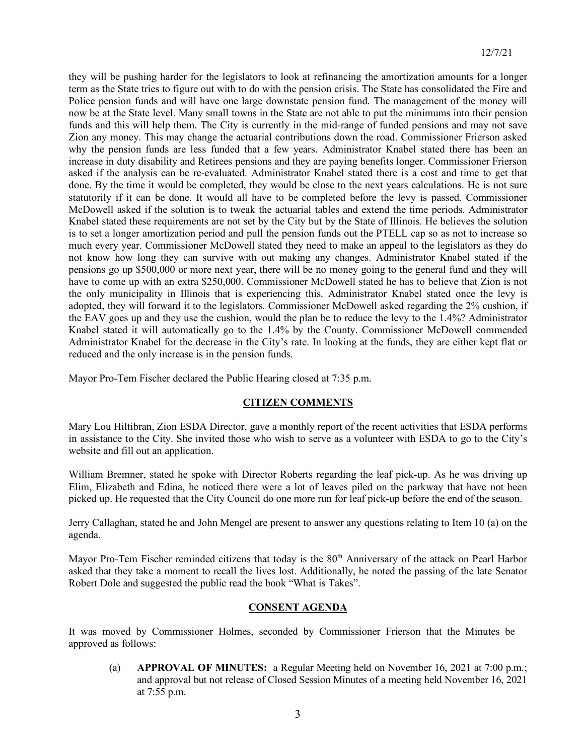they will be pushing harder for the legislators to look at refinancing the amortization amounts for a longer term as the State tries to figure out with to do with the pension crisis. The State has consolidated the Fire and Police pension funds and will have one large downstate pension fund. The management of the money will now be at the State level. Many small towns in the State are not able to put the minimums into their pension funds and this will help them. The City is currently in the mid-range of funded pensions and may not save Zion any money. This may change the actuarial contributions down the road. Commissioner Frierson asked why the pension funds are less funded that a few years. Administrator Knabel stated there has been an increase in duty disability and Retirees pensions and they are paying benefits longer. Commissioner Frierson asked if the analysis can be re-evaluated. Administrator Knabel stated there is a cost and time to get that done. By the time it would be completed, they would be close to the next years calculations. He is not sure statutorily if it can be done. It would all have to be completed before the levy is passed. Commissioner McDowell asked if the solution is to tweak the actuarial tables and extend the time periods. Administrator Knabel stated these requirements are not set by the City but by the State of Illinois. He believes the solution is to set a longer amortization period and pull the pension funds out the PTELL cap so as not to increase so much every year. Commissioner McDowell stated they need to make an appeal to the legislators as they do not know how long they can survive with out making any changes. Administrator Knabel stated if the pensions go up \$500,000 or more next year, there will be no money going to the general fund and they will have to come up with an extra \$250,000. Commissioner McDowell stated he has to believe that Zion is not the only municipality in Illinois that is experiencing this. Administrator Knabel stated once the levy is adopted, they will forward it to the legislators. Commissioner McDowell asked regarding the 2% cushion, if the EAV goes up and they use the cushion, would the plan be to reduce the levy to the 1.4%? Administrator Knabel stated it will automatically go to the 1.4% by the County. Commissioner McDowell commended Administrator Knabel for the decrease in the City's rate. In looking at the funds, they are either kept flat or reduced and the only increase is in the pension funds.

Mayor Pro-Tem Fischer declared the Public Hearing closed at 7:35 p.m.

## **CITIZEN COMMENTS**

Mary Lou Hiltibran, Zion ESDA Director, gave a monthly report of the recent activities that ESDA performs in assistance to the City. She invited those who wish to serve as a volunteer with ESDA to go to the City's website and fill out an application.

William Bremner, stated he spoke with Director Roberts regarding the leaf pick-up. As he was driving up Elim, Elizabeth and Edina, he noticed there were a lot of leaves piled on the parkway that have not been picked up. He requested that the City Council do one more run for leaf pick-up before the end of the season.

Jerry Callaghan, stated he and John Mengel are present to answer any questions relating to Item 10 (a) on the agenda.

Mayor Pro-Tem Fischer reminded citizens that today is the 80<sup>th</sup> Anniversary of the attack on Pearl Harbor asked that they take a moment to recall the lives lost. Additionally, he noted the passing of the late Senator Robert Dole and suggested the public read the book "What is Takes".

## **CONSENT AGENDA**

It was moved by Commissioner Holmes, seconded by Commissioner Frierson that the Minutes be approved as follows:

(a) **APPROVAL OF MINUTES:** a Regular Meeting held on November 16, 2021 at 7:00 p.m.; and approval but not release of Closed Session Minutes of a meeting held November 16, 2021 at 7:55 p.m.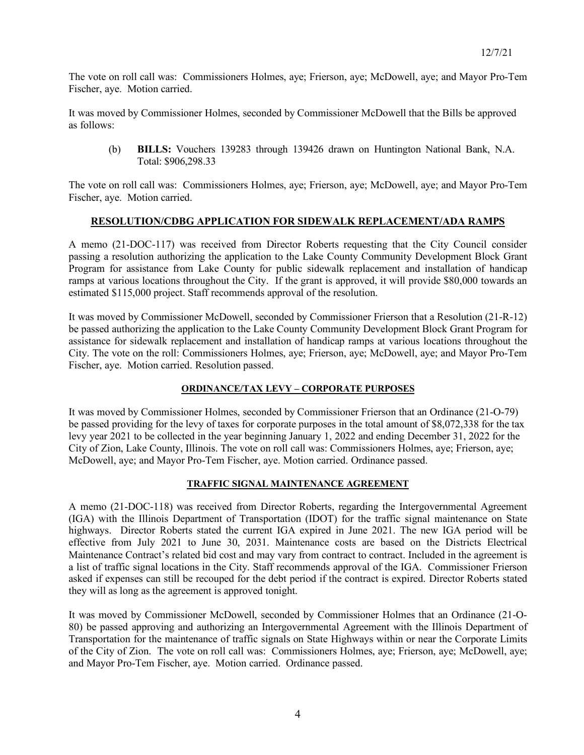The vote on roll call was: Commissioners Holmes, aye; Frierson, aye; McDowell, aye; and Mayor Pro-Tem Fischer, aye. Motion carried.

It was moved by Commissioner Holmes, seconded by Commissioner McDowell that the Bills be approved as follows:

(b) **BILLS:** Vouchers 139283 through 139426 drawn on Huntington National Bank, N.A. Total: \$906,298.33

The vote on roll call was: Commissioners Holmes, aye; Frierson, aye; McDowell, aye; and Mayor Pro-Tem Fischer, aye. Motion carried.

## **RESOLUTION/CDBG APPLICATION FOR SIDEWALK REPLACEMENT/ADA RAMPS**

A memo (21-DOC-117) was received from Director Roberts requesting that the City Council consider passing a resolution authorizing the application to the Lake County Community Development Block Grant Program for assistance from Lake County for public sidewalk replacement and installation of handicap ramps at various locations throughout the City. If the grant is approved, it will provide \$80,000 towards an estimated \$115,000 project. Staff recommends approval of the resolution.

It was moved by Commissioner McDowell, seconded by Commissioner Frierson that a Resolution (21-R-12) be passed authorizing the application to the Lake County Community Development Block Grant Program for assistance for sidewalk replacement and installation of handicap ramps at various locations throughout the City. The vote on the roll: Commissioners Holmes, aye; Frierson, aye; McDowell, aye; and Mayor Pro-Tem Fischer, aye. Motion carried. Resolution passed.

## **ORDINANCE/TAX LEVY – CORPORATE PURPOSES**

It was moved by Commissioner Holmes, seconded by Commissioner Frierson that an Ordinance (21-O-79) be passed providing for the levy of taxes for corporate purposes in the total amount of \$8,072,338 for the tax levy year 2021 to be collected in the year beginning January 1, 2022 and ending December 31, 2022 for the City of Zion, Lake County, Illinois. The vote on roll call was: Commissioners Holmes, aye; Frierson, aye; McDowell, aye; and Mayor Pro-Tem Fischer, aye. Motion carried. Ordinance passed.

## **TRAFFIC SIGNAL MAINTENANCE AGREEMENT**

A memo (21-DOC-118) was received from Director Roberts, regarding the Intergovernmental Agreement (IGA) with the Illinois Department of Transportation (IDOT) for the traffic signal maintenance on State highways. Director Roberts stated the current IGA expired in June 2021. The new IGA period will be effective from July 2021 to June 30, 2031. Maintenance costs are based on the Districts Electrical Maintenance Contract's related bid cost and may vary from contract to contract. Included in the agreement is a list of traffic signal locations in the City. Staff recommends approval of the IGA. Commissioner Frierson asked if expenses can still be recouped for the debt period if the contract is expired. Director Roberts stated they will as long as the agreement is approved tonight.

It was moved by Commissioner McDowell, seconded by Commissioner Holmes that an Ordinance (21-O-80) be passed approving and authorizing an Intergovernmental Agreement with the Illinois Department of Transportation for the maintenance of traffic signals on State Highways within or near the Corporate Limits of the City of Zion. The vote on roll call was: Commissioners Holmes, aye; Frierson, aye; McDowell, aye; and Mayor Pro-Tem Fischer, aye. Motion carried. Ordinance passed.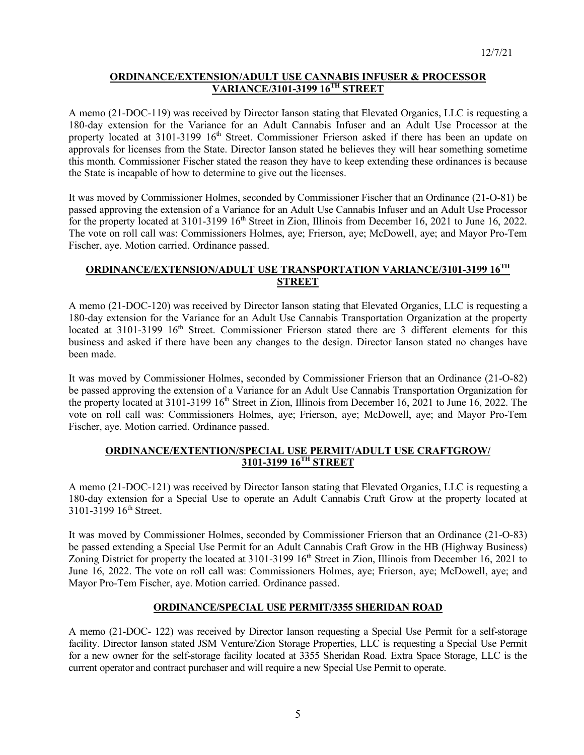## **ORDINANCE/EXTENSION/ADULT USE CANNABIS INFUSER & PROCESSOR VARIANCE/3101-3199 16TH STREET**

A memo (21-DOC-119) was received by Director Ianson stating that Elevated Organics, LLC is requesting a 180-day extension for the Variance for an Adult Cannabis Infuser and an Adult Use Processor at the property located at 3101-3199 16<sup>th</sup> Street. Commissioner Frierson asked if there has been an update on approvals for licenses from the State. Director Ianson stated he believes they will hear something sometime this month. Commissioner Fischer stated the reason they have to keep extending these ordinances is because the State is incapable of how to determine to give out the licenses.

It was moved by Commissioner Holmes, seconded by Commissioner Fischer that an Ordinance (21-O-81) be passed approving the extension of a Variance for an Adult Use Cannabis Infuser and an Adult Use Processor for the property located at 3101-3199 16<sup>th</sup> Street in Zion, Illinois from December 16, 2021 to June 16, 2022. The vote on roll call was: Commissioners Holmes, aye; Frierson, aye; McDowell, aye; and Mayor Pro-Tem Fischer, aye. Motion carried. Ordinance passed.

# **ORDINANCE/EXTENSION/ADULT USE TRANSPORTATION VARIANCE/3101-3199 16TH STREET**

A memo (21-DOC-120) was received by Director Ianson stating that Elevated Organics, LLC is requesting a 180-day extension for the Variance for an Adult Use Cannabis Transportation Organization at the property located at 3101-3199 16<sup>th</sup> Street. Commissioner Frierson stated there are 3 different elements for this business and asked if there have been any changes to the design. Director Ianson stated no changes have been made.

It was moved by Commissioner Holmes, seconded by Commissioner Frierson that an Ordinance (21-O-82) be passed approving the extension of a Variance for an Adult Use Cannabis Transportation Organization for the property located at  $3101-3199\,16^{th}$  Street in Zion, Illinois from December 16, 2021 to June 16, 2022. The vote on roll call was: Commissioners Holmes, aye; Frierson, aye; McDowell, aye; and Mayor Pro-Tem Fischer, aye. Motion carried. Ordinance passed.

## **ORDINANCE/EXTENTION/SPECIAL USE PERMIT/ADULT USE CRAFTGROW/ 3101-3199 16TH STREET**

A memo (21-DOC-121) was received by Director Ianson stating that Elevated Organics, LLC is requesting a 180-day extension for a Special Use to operate an Adult Cannabis Craft Grow at the property located at 3101-3199 16<sup>th</sup> Street.

It was moved by Commissioner Holmes, seconded by Commissioner Frierson that an Ordinance (21-O-83) be passed extending a Special Use Permit for an Adult Cannabis Craft Grow in the HB (Highway Business) Zoning District for property the located at 3101-3199 16<sup>th</sup> Street in Zion, Illinois from December 16, 2021 to June 16, 2022. The vote on roll call was: Commissioners Holmes, aye; Frierson, aye; McDowell, aye; and Mayor Pro-Tem Fischer, aye. Motion carried. Ordinance passed.

## **ORDINANCE/SPECIAL USE PERMIT/3355 SHERIDAN ROAD**

A memo (21-DOC- 122) was received by Director Ianson requesting a Special Use Permit for a self-storage facility. Director Ianson stated JSM Venture/Zion Storage Properties, LLC is requesting a Special Use Permit for a new owner for the self-storage facility located at 3355 Sheridan Road. Extra Space Storage, LLC is the current operator and contract purchaser and will require a new Special Use Permit to operate.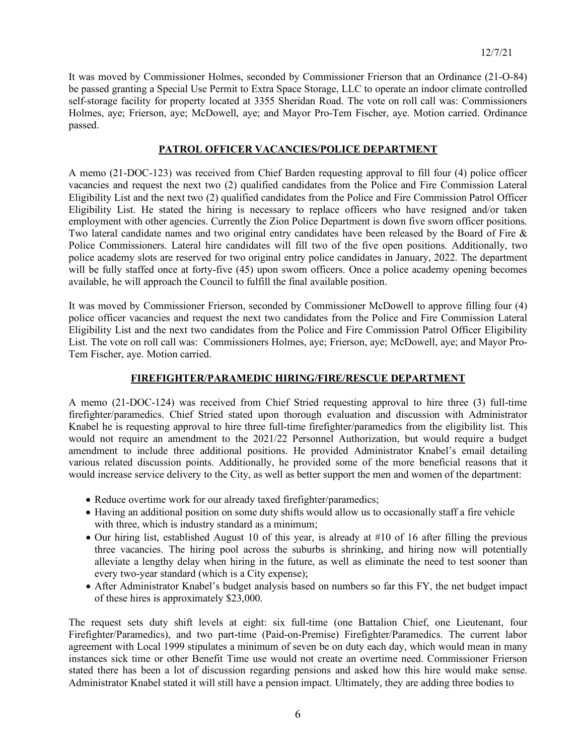It was moved by Commissioner Holmes, seconded by Commissioner Frierson that an Ordinance (21-O-84) be passed granting a Special Use Permit to Extra Space Storage, LLC to operate an indoor climate controlled self-storage facility for property located at 3355 Sheridan Road. The vote on roll call was: Commissioners Holmes, aye; Frierson, aye; McDowell, aye; and Mayor Pro-Tem Fischer, aye. Motion carried. Ordinance passed.

## **PATROL OFFICER VACANCIES/POLICE DEPARTMENT**

A memo (21-DOC-123) was received from Chief Barden requesting approval to fill four (4) police officer vacancies and request the next two (2) qualified candidates from the Police and Fire Commission Lateral Eligibility List and the next two (2) qualified candidates from the Police and Fire Commission Patrol Officer Eligibility List. He stated the hiring is necessary to replace officers who have resigned and/or taken employment with other agencies. Currently the Zion Police Department is down five sworn officer positions. Two lateral candidate names and two original entry candidates have been released by the Board of Fire & Police Commissioners. Lateral hire candidates will fill two of the five open positions. Additionally, two police academy slots are reserved for two original entry police candidates in January, 2022. The department will be fully staffed once at forty-five (45) upon sworn officers. Once a police academy opening becomes available, he will approach the Council to fulfill the final available position.

It was moved by Commissioner Frierson, seconded by Commissioner McDowell to approve filling four (4) police officer vacancies and request the next two candidates from the Police and Fire Commission Lateral Eligibility List and the next two candidates from the Police and Fire Commission Patrol Officer Eligibility List. The vote on roll call was: Commissioners Holmes, aye; Frierson, aye; McDowell, aye; and Mayor Pro-Tem Fischer, aye. Motion carried.

## **FIREFIGHTER/PARAMEDIC HIRING/FIRE/RESCUE DEPARTMENT**

A memo (21-DOC-124) was received from Chief Stried requesting approval to hire three (3) full-time firefighter/paramedics. Chief Stried stated upon thorough evaluation and discussion with Administrator Knabel he is requesting approval to hire three full-time firefighter/paramedics from the eligibility list. This would not require an amendment to the 2021/22 Personnel Authorization, but would require a budget amendment to include three additional positions. He provided Administrator Knabel's email detailing various related discussion points. Additionally, he provided some of the more beneficial reasons that it would increase service delivery to the City, as well as better support the men and women of the department:

- Reduce overtime work for our already taxed firefighter/paramedics;
- Having an additional position on some duty shifts would allow us to occasionally staff a fire vehicle with three, which is industry standard as a minimum;
- Our hiring list, established August 10 of this year, is already at #10 of 16 after filling the previous three vacancies. The hiring pool across the suburbs is shrinking, and hiring now will potentially alleviate a lengthy delay when hiring in the future, as well as eliminate the need to test sooner than every two-year standard (which is a City expense);
- After Administrator Knabel's budget analysis based on numbers so far this FY, the net budget impact of these hires is approximately \$23,000.

The request sets duty shift levels at eight: six full-time (one Battalion Chief, one Lieutenant, four Firefighter/Paramedics), and two part-time (Paid-on-Premise) Firefighter/Paramedics. The current labor agreement with Local 1999 stipulates a minimum of seven be on duty each day, which would mean in many instances sick time or other Benefit Time use would not create an overtime need. Commissioner Frierson stated there has been a lot of discussion regarding pensions and asked how this hire would make sense. Administrator Knabel stated it will still have a pension impact. Ultimately, they are adding three bodies to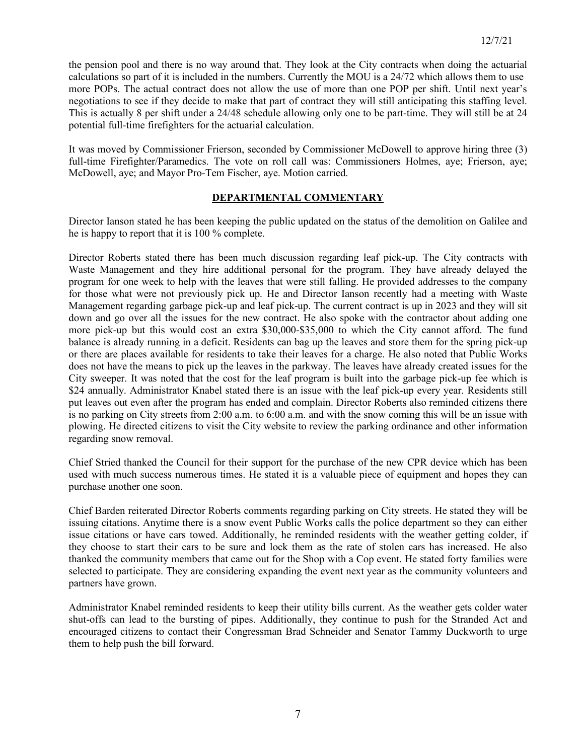the pension pool and there is no way around that. They look at the City contracts when doing the actuarial calculations so part of it is included in the numbers. Currently the MOU is a 24/72 which allows them to use more POPs. The actual contract does not allow the use of more than one POP per shift. Until next year's negotiations to see if they decide to make that part of contract they will still anticipating this staffing level. This is actually 8 per shift under a 24/48 schedule allowing only one to be part-time. They will still be at 24 potential full-time firefighters for the actuarial calculation.

It was moved by Commissioner Frierson, seconded by Commissioner McDowell to approve hiring three (3) full-time Firefighter/Paramedics. The vote on roll call was: Commissioners Holmes, aye; Frierson, aye; McDowell, aye; and Mayor Pro-Tem Fischer, aye. Motion carried.

## **DEPARTMENTAL COMMENTARY**

Director Ianson stated he has been keeping the public updated on the status of the demolition on Galilee and he is happy to report that it is 100 % complete.

Director Roberts stated there has been much discussion regarding leaf pick-up. The City contracts with Waste Management and they hire additional personal for the program. They have already delayed the program for one week to help with the leaves that were still falling. He provided addresses to the company for those what were not previously pick up. He and Director Ianson recently had a meeting with Waste Management regarding garbage pick-up and leaf pick-up. The current contract is up in 2023 and they will sit down and go over all the issues for the new contract. He also spoke with the contractor about adding one more pick-up but this would cost an extra \$30,000-\$35,000 to which the City cannot afford. The fund balance is already running in a deficit. Residents can bag up the leaves and store them for the spring pick-up or there are places available for residents to take their leaves for a charge. He also noted that Public Works does not have the means to pick up the leaves in the parkway. The leaves have already created issues for the City sweeper. It was noted that the cost for the leaf program is built into the garbage pick-up fee which is \$24 annually. Administrator Knabel stated there is an issue with the leaf pick-up every year. Residents still put leaves out even after the program has ended and complain. Director Roberts also reminded citizens there is no parking on City streets from 2:00 a.m. to 6:00 a.m. and with the snow coming this will be an issue with plowing. He directed citizens to visit the City website to review the parking ordinance and other information regarding snow removal.

Chief Stried thanked the Council for their support for the purchase of the new CPR device which has been used with much success numerous times. He stated it is a valuable piece of equipment and hopes they can purchase another one soon.

Chief Barden reiterated Director Roberts comments regarding parking on City streets. He stated they will be issuing citations. Anytime there is a snow event Public Works calls the police department so they can either issue citations or have cars towed. Additionally, he reminded residents with the weather getting colder, if they choose to start their cars to be sure and lock them as the rate of stolen cars has increased. He also thanked the community members that came out for the Shop with a Cop event. He stated forty families were selected to participate. They are considering expanding the event next year as the community volunteers and partners have grown.

Administrator Knabel reminded residents to keep their utility bills current. As the weather gets colder water shut-offs can lead to the bursting of pipes. Additionally, they continue to push for the Stranded Act and encouraged citizens to contact their Congressman Brad Schneider and Senator Tammy Duckworth to urge them to help push the bill forward.